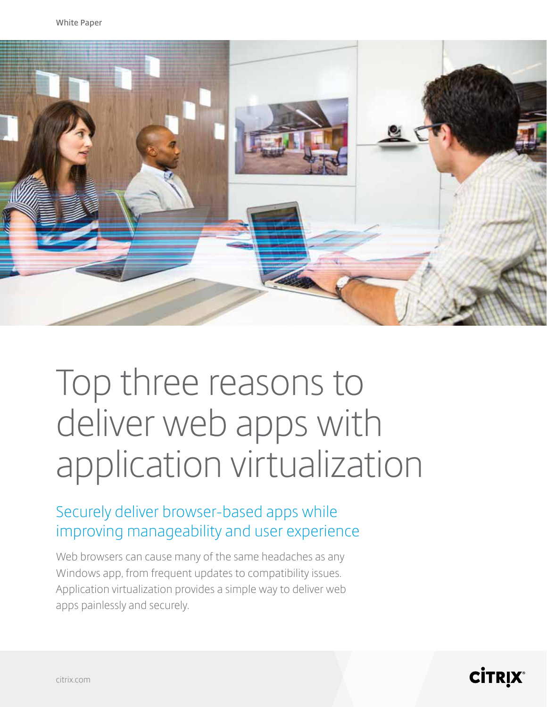

# Top three reasons to deliver web apps with application virtualization

### Securely deliver browser-based apps while improving manageability and user experience

Web browsers can cause many of the same headaches as any Windows app, from frequent updates to compatibility issues. Application virtualization provides a simple way to deliver web apps painlessly and securely.

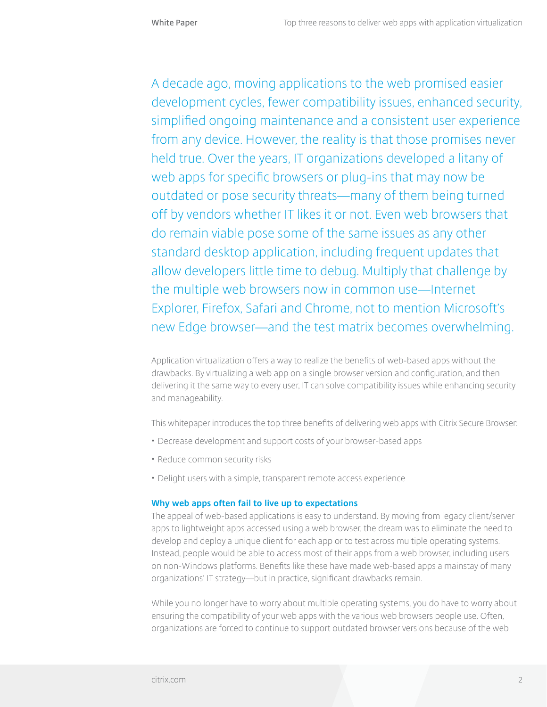A decade ago, moving applications to the web promised easier development cycles, fewer compatibility issues, enhanced security, simplified ongoing maintenance and a consistent user experience from any device. However, the reality is that those promises never held true. Over the years, IT organizations developed a litany of web apps for specific browsers or plug-ins that may now be outdated or pose security threats—many of them being turned off by vendors whether IT likes it or not. Even web browsers that do remain viable pose some of the same issues as any other standard desktop application, including frequent updates that allow developers little time to debug. Multiply that challenge by the multiple web browsers now in common use—Internet Explorer, Firefox, Safari and Chrome, not to mention Microsoft's new Edge browser—and the test matrix becomes overwhelming.

Application virtualization offers a way to realize the benefits of web-based apps without the drawbacks. By virtualizing a web app on a single browser version and configuration, and then delivering it the same way to every user, IT can solve compatibility issues while enhancing security and manageability.

This whitepaper introduces the top three benefits of delivering web apps with Citrix Secure Browser:

- Decrease development and support costs of your browser-based apps
- Reduce common security risks
- Delight users with a simple, transparent remote access experience

#### **Why web apps often fail to live up to expectations**

The appeal of web-based applications is easy to understand. By moving from legacy client/server apps to lightweight apps accessed using a web browser, the dream was to eliminate the need to develop and deploy a unique client for each app or to test across multiple operating systems. Instead, people would be able to access most of their apps from a web browser, including users on non-Windows platforms. Benefits like these have made web-based apps a mainstay of many organizations' IT strategy—but in practice, significant drawbacks remain.

While you no longer have to worry about multiple operating systems, you do have to worry about ensuring the compatibility of your web apps with the various web browsers people use. Often, organizations are forced to continue to support outdated browser versions because of the web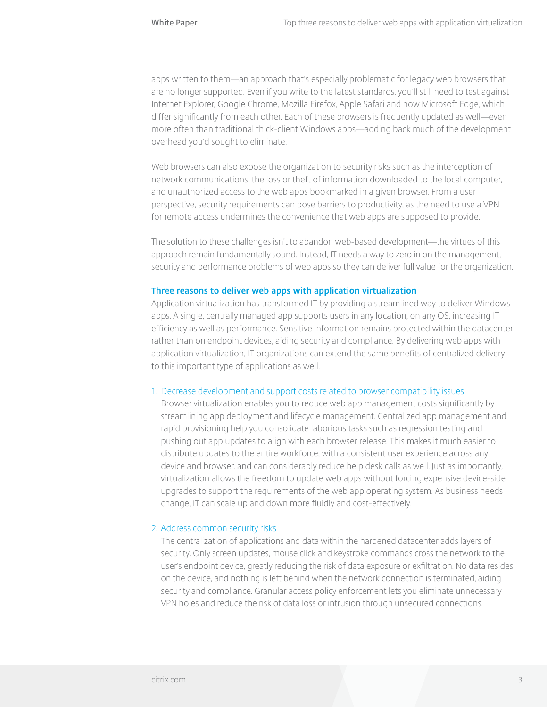apps written to them—an approach that's especially problematic for legacy web browsers that are no longer supported. Even if you write to the latest standards, you'll still need to test against Internet Explorer, Google Chrome, Mozilla Firefox, Apple Safari and now Microsoft Edge, which differ significantly from each other. Each of these browsers is frequently updated as well—even more often than traditional thick-client Windows apps—adding back much of the development overhead you'd sought to eliminate.

Web browsers can also expose the organization to security risks such as the interception of network communications, the loss or theft of information downloaded to the local computer, and unauthorized access to the web apps bookmarked in a given browser. From a user perspective, security requirements can pose barriers to productivity, as the need to use a VPN for remote access undermines the convenience that web apps are supposed to provide.

The solution to these challenges isn't to abandon web-based development—the virtues of this approach remain fundamentally sound. Instead, IT needs a way to zero in on the management, security and performance problems of web apps so they can deliver full value for the organization.

#### **Three reasons to deliver web apps with application virtualization**

Application virtualization has transformed IT by providing a streamlined way to deliver Windows apps. A single, centrally managed app supports users in any location, on any OS, increasing IT efficiency as well as performance. Sensitive information remains protected within the datacenter rather than on endpoint devices, aiding security and compliance. By delivering web apps with application virtualization, IT organizations can extend the same benefits of centralized delivery to this important type of applications as well.

#### 1. Decrease development and support costs related to browser compatibility issues

Browser virtualization enables you to reduce web app management costs significantly by streamlining app deployment and lifecycle management. Centralized app management and rapid provisioning help you consolidate laborious tasks such as regression testing and pushing out app updates to align with each browser release. This makes it much easier to distribute updates to the entire workforce, with a consistent user experience across any device and browser, and can considerably reduce help desk calls as well. Just as importantly, virtualization allows the freedom to update web apps without forcing expensive device-side upgrades to support the requirements of the web app operating system. As business needs change, IT can scale up and down more fluidly and cost-effectively.

#### 2. Address common security risks

The centralization of applications and data within the hardened datacenter adds layers of security. Only screen updates, mouse click and keystroke commands cross the network to the user's endpoint device, greatly reducing the risk of data exposure or exfiltration. No data resides on the device, and nothing is left behind when the network connection is terminated, aiding security and compliance. Granular access policy enforcement lets you eliminate unnecessary VPN holes and reduce the risk of data loss or intrusion through unsecured connections.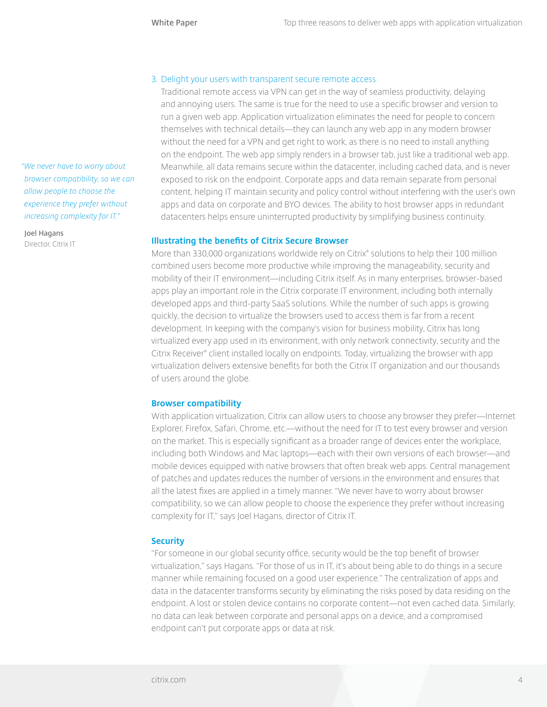#### 3. Delight your users with transparent secure remote access

Traditional remote access via VPN can get in the way of seamless productivity, delaying and annoying users. The same is true for the need to use a specific browser and version to run a given web app. Application virtualization eliminates the need for people to concern themselves with technical details—they can launch any web app in any modern browser without the need for a VPN and get right to work, as there is no need to install anything on the endpoint. The web app simply renders in a browser tab, just like a traditional web app. Meanwhile, all data remains secure within the datacenter, including cached data, and is never exposed to risk on the endpoint. Corporate apps and data remain separate from personal content, helping IT maintain security and policy control without interfering with the user's own apps and data on corporate and BYO devices. The ability to host browser apps in redundant datacenters helps ensure uninterrupted productivity by simplifying business continuity.

#### **Illustrating the benefits of Citrix Secure Browser**

More than 330,000 organizations worldwide rely on Citrix® solutions to help their 100 million combined users become more productive while improving the manageability, security and mobility of their IT environment—including Citrix itself. As in many enterprises, browser-based apps play an important role in the Citrix corporate IT environment, including both internally developed apps and third-party SaaS solutions. While the number of such apps is growing quickly, the decision to virtualize the browsers used to access them is far from a recent development. In keeping with the company's vision for business mobility, Citrix has long virtualized every app used in its environment, with only network connectivity, security and the Citrix Receiver® client installed locally on endpoints. Today, virtualizing the browser with app virtualization delivers extensive benefits for both the Citrix IT organization and our thousands of users around the globe.

#### **Browser compatibility**

With application virtualization, Citrix can allow users to choose any browser they prefer—Internet Explorer, Firefox, Safari, Chrome, etc.—without the need for IT to test every browser and version on the market. This is especially significant as a broader range of devices enter the workplace, including both Windows and Mac laptops—each with their own versions of each browser—and mobile devices equipped with native browsers that often break web apps. Central management of patches and updates reduces the number of versions in the environment and ensures that all the latest fixes are applied in a timely manner. "We never have to worry about browser compatibility, so we can allow people to choose the experience they prefer without increasing complexity for IT," says Joel Hagans, director of Citrix IT.

#### **Security**

"For someone in our global security office, security would be the top benefit of browser virtualization," says Hagans. "For those of us in IT, it's about being able to do things in a secure manner while remaining focused on a good user experience." The centralization of apps and data in the datacenter transforms security by eliminating the risks posed by data residing on the endpoint. A lost or stolen device contains no corporate content—not even cached data. Similarly, no data can leak between corporate and personal apps on a device, and a compromised endpoint can't put corporate apps or data at risk.

*"We never have to worry about browser compatibility, so we can allow people to choose the experience they prefer without increasing complexity for IT."*

**Joel Hagans**  Director, Citrix IT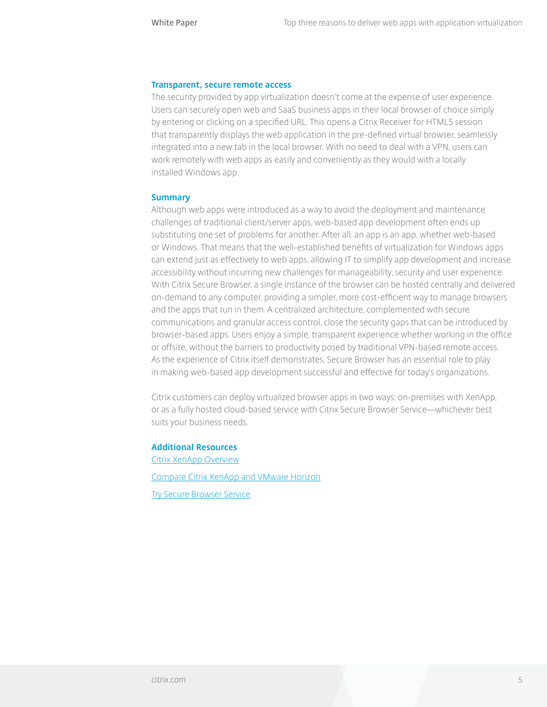#### **Transparent, secure remote access**

The security provided by app virtualization doesn't come at the expense of user experience. Users can securely open web and SaaS business apps in their local browser of choice simply by entering or clicking on a specified URL. This opens a Citrix Receiver for HTML5 session that transparently displays the web application in the pre-defined virtual browser, seamlessly integrated into a new tab in the local browser. With no need to deal with a VPN, users can work remotely with web apps as easily and conveniently as they would with a locally installed Windows app.

#### **Summary**

Although web apps were introduced as a way to avoid the deployment and maintenance challenges of traditional client/server apps, web-based app development often ends up substituting one set of problems for another. After all, an app is an app, whether web-based or Windows. That means that the well-established benefits of virtualization for Windows apps can extend just as effectively to web apps, allowing IT to simplify app development and increase accessibility without incurring new challenges for manageability, security and user experience. With Citrix Secure Browser, a single instance of the browser can be hosted centrally and delivered on-demand to any computer, providing a simpler, more cost-efficient way to manage browsers and the apps that run in them. A centralized architecture, complemented with secure communications and granular access control, close the security gaps that can be introduced by browser-based apps. Users enjoy a simple, transparent experience whether working in the office or offsite, without the barriers to productivity posed by traditional VPN-based remote access. As the experience of Citrix itself demonstrates, Secure Browser has an essential role to play in making web-based app development successful and effective for today's organizations.

Citrix customers can deploy virtualized browser apps in two ways: on-premises with XenApp, or as a fully hosted cloud-based service with Citrix Secure Browser Service—whichever best suits your business needs.

#### **Additional Resources**

[Citrix XenApp Overview](http://www.citrix.com/products/xenapp/overview.html) [Compare Citrix XenApp and VMware Horizon](http://www.citrix.com/products/xenapp/how-it-helps/compare.html)

[Try Secure Browser Service](http://www.citrix.com/products/workspace-cloud/services.html#browser)